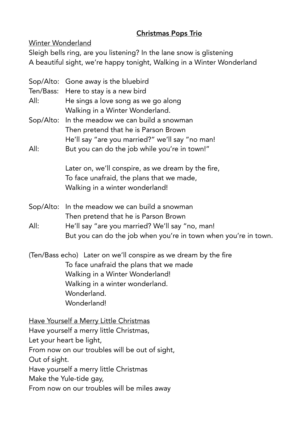## Christmas Pops Trio

## Winter Wonderland

Sleigh bells ring, are you listening? In the lane snow is glistening A beautiful sight, we're happy tonight, Walking in a Winter Wonderland

| All:          | Sop/Alto: Gone away is the bluebird<br>Ten/Bass: Here to stay is a new bird<br>He sings a love song as we go along                                                                                                                                                                  |
|---------------|-------------------------------------------------------------------------------------------------------------------------------------------------------------------------------------------------------------------------------------------------------------------------------------|
|               | Walking in a Winter Wonderland.<br>Sop/Alto: In the meadow we can build a snowman<br>Then pretend that he is Parson Brown                                                                                                                                                           |
| All:          | He'll say "are you married?" we'll say "no man!<br>But you can do the job while you're in town!"                                                                                                                                                                                    |
|               | Later on, we'll conspire, as we dream by the fire,<br>To face unafraid, the plans that we made,<br>Walking in a winter wonderland!                                                                                                                                                  |
| Sop/Alto:     | In the meadow we can build a snowman<br>Then pretend that he is Parson Brown                                                                                                                                                                                                        |
| All:          | He'll say "are you married? We'll say "no, man!<br>But you can do the job when you're in town when you're in town.                                                                                                                                                                  |
|               | (Ten/Bass echo) Later on we'll conspire as we dream by the fire<br>To face unafraid the plans that we made<br>Walking in a Winter Wonderland!<br>Walking in a winter wonderland.<br>Wonderland.<br>Wonderland!                                                                      |
| Out of sight. | Have Yourself a Merry Little Christmas<br>Have yourself a merry little Christmas,<br>Let your heart be light,<br>From now on our troubles will be out of sight,<br>Have yourself a merry little Christmas<br>Make the Yule-tide gay,<br>From now on our troubles will be miles away |